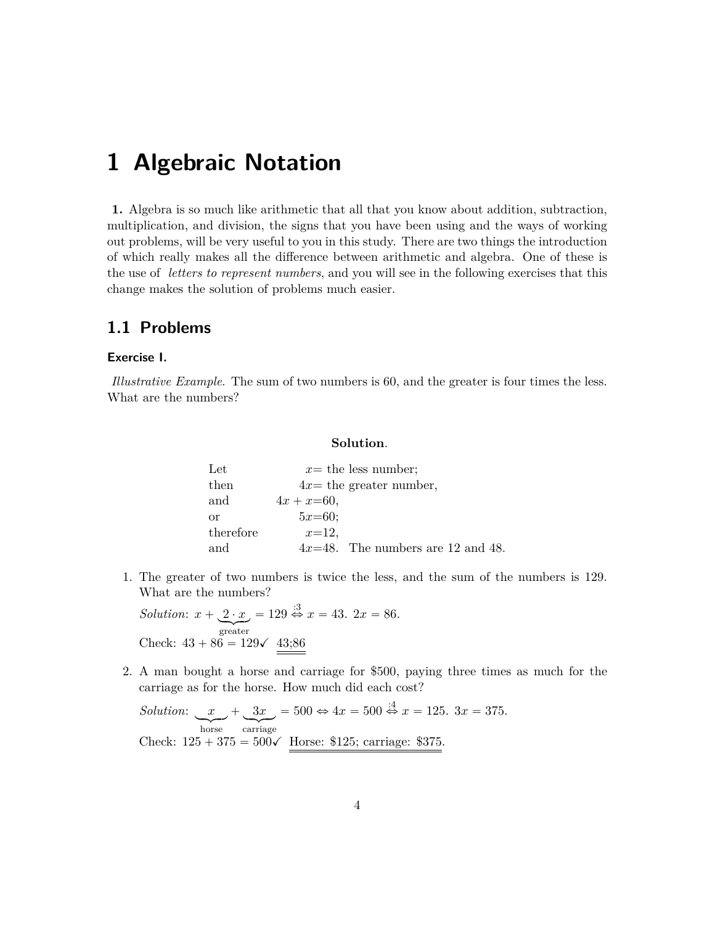# **1 Algebraic Notation**

**1.** Algebra is so much like arithmetic that all that you know about addition, subtraction, multiplication, and division, the signs that you have been using and the ways of working out problems, will be very useful to you in this study. There are two things the introduction of which really makes all the difference between arithmetic and algebra. One of these is the use of *letters to represent numbers*, and you will see in the following exercises that this change makes the solution of problems much easier.

# **1.1 Problems**

## **Exercise I.**

*Illustrative Example*. The sum of two numbers is 60, and the greater is four times the less. What are the numbers?

## **Solution**.

| Let       | $x=$ the less number;                |
|-----------|--------------------------------------|
| then      | $4x=$ the greater number,            |
| and       | $4x + x = 60,$                       |
| or        | $5x=60$ ;                            |
| therefore | $x=12$ ,                             |
| and       | $4x=48$ . The numbers are 12 and 48. |

1. The greater of two numbers is twice the less, and the sum of the numbers is 129. What are the numbers?

*Solution*:  $x + 2 \cdot x$ greater  $= 129 \stackrel{.3}{\Leftrightarrow} x = 43. \ 2x = 86.$ Check:  $43 + 86 = 129\checkmark$  43;86

2. A man bought a horse and carriage for \$500, paying three times as much for the carriage as for the horse. How much did each cost?

*Solution*: *x* horse  $+$   $3x$ carriage  $= 500 \Leftrightarrow 4x = 500 \Leftrightarrow x = 125. \ 3x = 375.$ Check:  $125 + 375 = 500\checkmark$  Horse: \$125; carriage: \$375.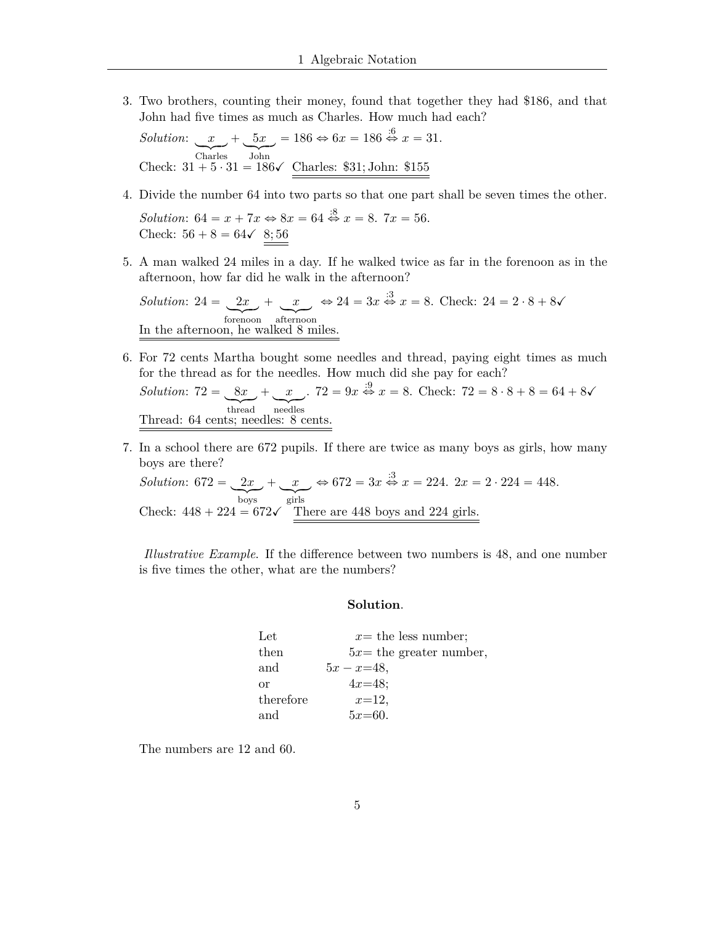3. Two brothers, counting their money, found that together they had \$186, and that John had five times as much as Charles. How much had each?

Solution:  $x + 5x = 186 \Leftrightarrow 6x = 186 \Leftrightarrow x = 31$ .<br>Check:  $31 + 5 \cdot 31 = 186 \sqrt{\text{Charles: } $31; \text{John: } $155}$ 

4. Divide the number 64 into two parts so that one part shall be seven times the other.

*Solution*:  $64 = x + 7x \Leftrightarrow 8x = 64 \stackrel{.8}{\Leftrightarrow} x = 8$ .  $7x = 56$ . Check:  $56 + 8 = 64 \checkmark \; 8; 56$ 

5. A man walked 24 miles in a day. If he walked twice as far in the forenoon as in the afternoon, how far did he walk in the afternoon?

Solution:  $24 = 2x + x \Leftrightarrow 24 = 3x \stackrel{\cdot 3}{\Leftrightarrow} x = 8$ . Check:  $24 = 2 \cdot 8 + 8\sqrt{ }$ <br>
In the sum of the set of the set of the set of the set of the set of the set of the set of the set of the set of the set of the set of the set In the afternoon, he walked 8 miles.

- 6. For 72 cents Martha bought some needles and thread, paying eight times as much for the thread as for the needles. How much did she pay for each? Solution:  $72 = 8x + x$ .  $72 = 9x \overset{.9}{\Leftrightarrow} x = 8$ . Check:  $72 = 8 \cdot 8 + 8 = 64 + 8$ Thread: 64 cents; needles: 8 cents.
- 7. In a school there are 672 pupils. If there are twice as many boys as girls, how many boys are there?

Solution:  $672 = 2x + x$   $\leftrightarrow 672 = 3x \stackrel{.3}{\Leftrightarrow} x = 224$ .  $2x = 2 \cdot 224 = 448$ .<br>Check:  $448 + 224 = 672\checkmark$  There are 448 boys and 224 girls.

*Illustrative Example.* If the difference between two numbers is 48, and one number is five times the other, what are the numbers?

## Solution.

| Let       | $x=$ the less number;     |
|-----------|---------------------------|
| then      | $5x=$ the greater number, |
| and       | $5x - x = 48,$            |
| $\alpha$  | $4x=48$ ;                 |
| therefore | $x=12$ ,                  |
| and       | $5x=60.$                  |

The numbers are 12 and 60.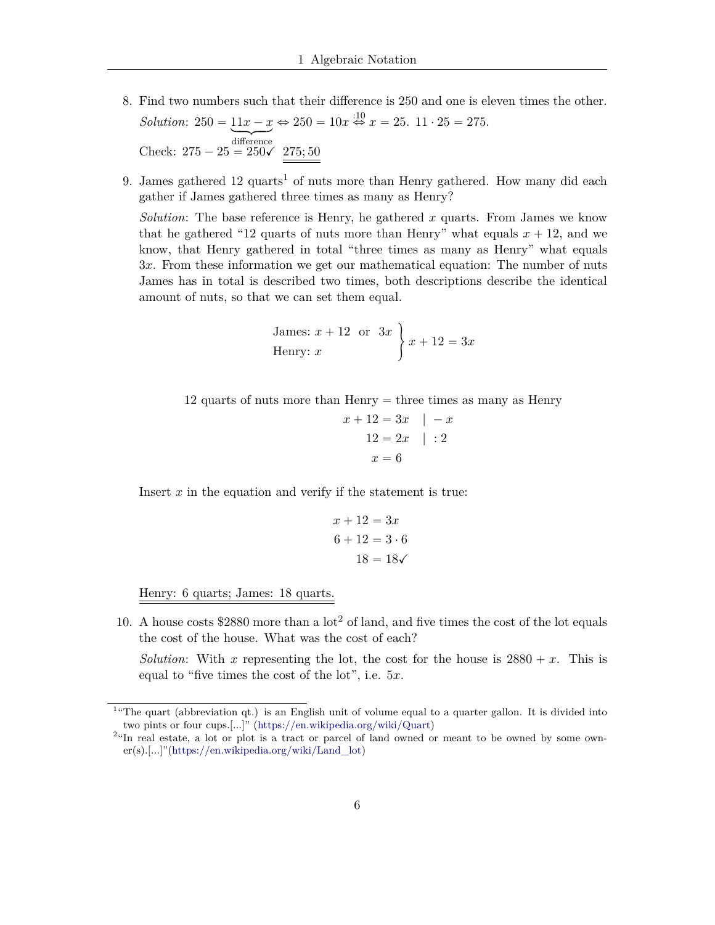- 8. Find two numbers such that their difference is 250 and one is eleven times the other. Solution:  $250 = 11x - x \Leftrightarrow 250 = 10x \Leftrightarrow x = 25$ .  $11 \cdot 25 = 275$ .<br>Check:  $275 - 25 = 250\sqrt{275; 50}$
- 9. James gathered 12 quarts<sup>1</sup> of nuts more than Henry gathered. How many did each gather if James gathered three times as many as Henry?

*Solution*: The base reference is Henry, he gathered  $x$  quarts. From James we know that he gathered "12 quarts of nuts more than Henry" what equals  $x + 12$ , and we know, that Henry gathered in total "three times as many as Henry" what equals 3x. From these information we get our mathematical equation: The number of nuts James has in total is described two times, both descriptions describe the identical amount of nuts, so that we can set them equal.

James: 
$$
x + 12
$$
 or  $3x$   
Henry:  $x$   $x + 12 = 3x$ 

$$
x + 12 = 3x \quad | \quad -x
$$

$$
12 = 2x \quad | \quad :2
$$

$$
x = 6
$$

Insert  $x$  in the equation and verify if the statement is true:

$$
x + 12 = 3x
$$

$$
6 + 12 = 3 \cdot 6
$$

$$
18 = 18\checkmark
$$

Henry: 6 quarts; James: 18 quarts.

10. A house costs \$2880 more than a  $\cot^2$  of land, and five times the cost of the lot equals the cost of the house. What was the cost of each?

*Solution*: With x representing the lot, the cost for the house is  $2880 + x$ . This is equal to "five times the cost of the lot", i.e.  $5x$ .

<span id="page-2-0"></span><sup>&</sup>lt;sup>1</sup>"The quart (abbreviation qt.) is an English unit of volume equal to a quarter gallon. It is divided into two pints or four cups.[...]" (https://en.wikipedia.org/wiki/Quart)

<span id="page-2-1"></span><sup>&</sup>lt;sup>2</sup>"In real estate, a lot or plot is a tract or parcel of land owned or meant to be owned by some own $er(s)$ .[...]"(https://en.wikipedia.org/wiki/Land\_lot)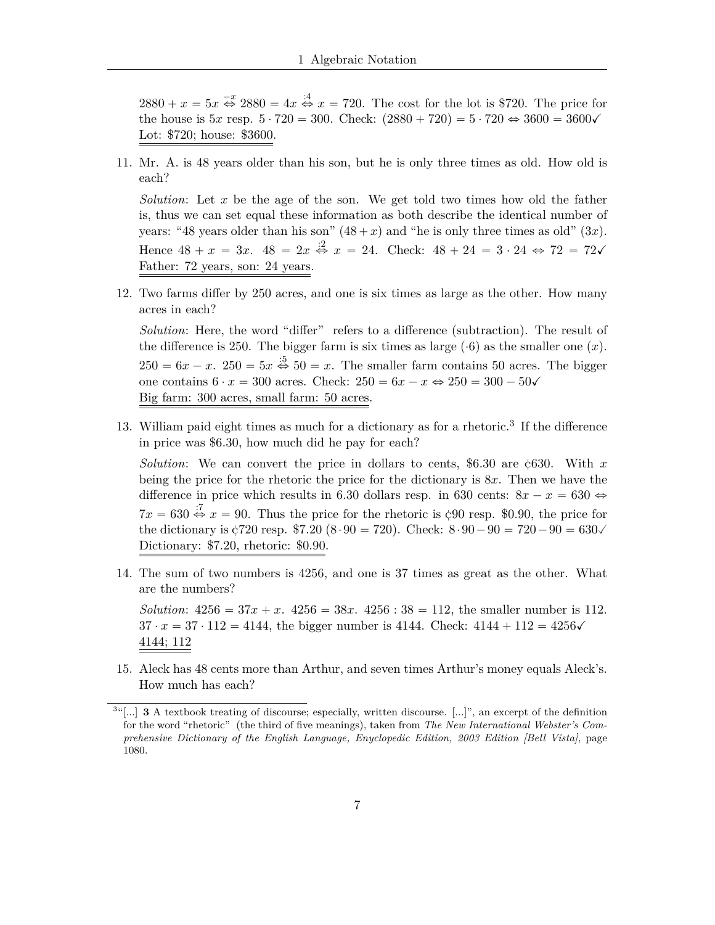$2880 + x = 5x \stackrel{-x}{\Leftrightarrow} 2880 = 4x \stackrel{.4}{\Leftrightarrow} x = 720$ . The cost for the lot is \$720. The price for the house is  $5x$  resp.  $5 \cdot 720 = 300$ . Check:  $(2880 + 720) = 5 \cdot 720 \Leftrightarrow 3600 = 3600 \sqrt{ }$ Lot: \$720; house: \$3600.

11. Mr. A. is 48 years older than his son, but he is only three times as old. How old is each?

*Solution*: Let x be the age of the son. We get told two times how old the father is, thus we can set equal these information as both describe the identical number of years: "48 years older than his son"  $(48 + x)$  and "he is only three times as old"  $(3x)$ . Hence  $48 + x = 3x$ .  $48 = 2x \stackrel{?}{\Leftrightarrow} x = 24$ . Check:  $48 + 24 = 3 \cdot 24 \Leftrightarrow 72 = 72\sqrt{3}$ Father: 72 years, son: 24 years.

12. Two farms differ by 250 acres, and one is six times as large as the other. How many acres in each?

*Solution*: Here, the word "differ" refers to a difference (subtraction). The result of the difference is 250. The bigger farm is six times as large  $(0.6)$  as the smaller one  $(x)$ .  $250 = 6x - x$ .  $250 = 5x \stackrel{.5}{\Leftrightarrow} 50 = x$ . The smaller farm contains 50 acres. The bigger one contains  $6 \cdot x = 300$  acres. Check:  $250 = 6x - x \Leftrightarrow 250 = 300 - 50\sqrt{x}$ Big farm: 300 acres, small farm: 50 acres.

13. William paid eight times as much for a dictionary as for a rhetoric.<sup>3</sup> If the difference in price was \$6.30, how much did he pay for each?

*Solution*: We can convert the price in dollars to cents, \$6.30 are  $\text{c630}$ . With x being the price for the rhetoric the price for the dictionary is  $8x$ . Then we have the difference in price which results in 6.30 dollars resp. in 630 cents:  $8x - x = 630 \Leftrightarrow$  $7x = 630 \stackrel{?}{\Leftrightarrow} x = 90$ . Thus the price for the rhetoric is  $\zeta$ 90 resp. \$0.90, the price for the dictionary is  $\text{\textsterling}720$  resp. \$7.20 (8.90 = 720). Check:  $8.90 - 90 = 720 - 90 = 630\sqrt{ }$ Dictionary: \$7.20, rhetoric: \$0.90.

14. The sum of two numbers is 4256, and one is 37 times as great as the other. What are the numbers?

*Solution*:  $4256 = 37x + x$ .  $4256 = 38x$ .  $4256 : 38 = 112$ , the smaller number is 112.  $37 \cdot x = 37 \cdot 112 = 4144$ , the bigger number is 4144. Check:  $4144 + 112 = 4256 \checkmark$ 4144; 112

15. Aleck has 48 cents more than Arthur, and seven times Arthur's money equals Aleck's. How much has each?

<span id="page-3-0"></span> $3^{36}$ [...] **3** A textbook treating of discourse; especially, written discourse. [...]", an excerpt of the definition for the word "rhetoric" (the third of five meanings), taken from The New International Webster's Comprehensive Dictionary of the English Language, Enyclopedic Edition, 2003 Edition [Bell Vista], page 1080.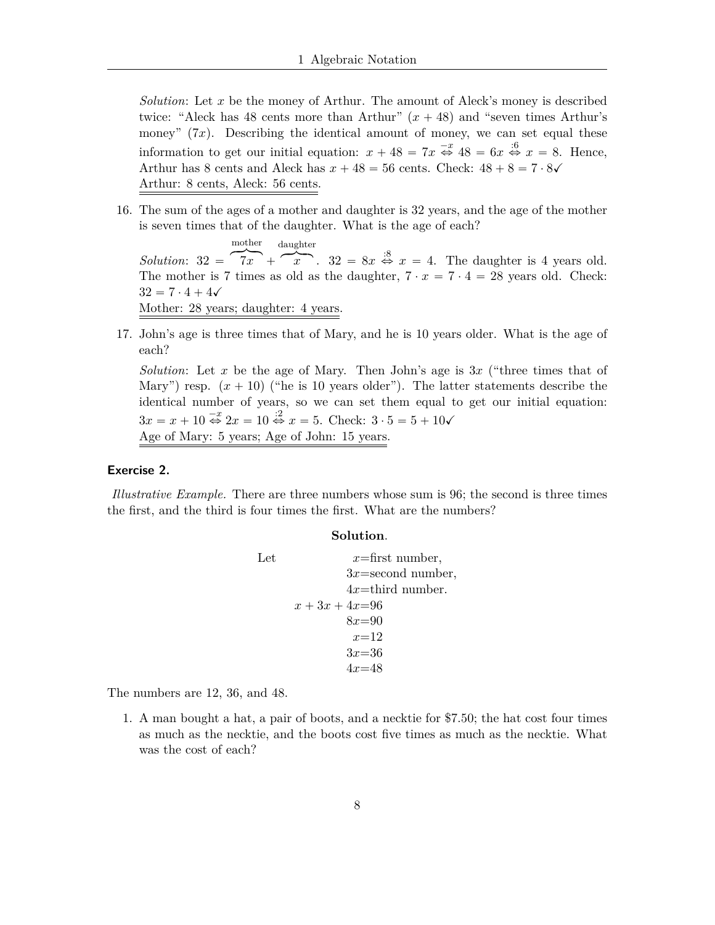*Solution*: Let *x* be the money of Arthur. The amount of Aleck's money is described twice: "Aleck has 48 cents more than Arthur"  $(x + 48)$  and "seven times Arthur's money"  $(7x)$ . Describing the identical amount of money, we can set equal these information to get our initial equation:  $x + 48 = 7x \stackrel{-x}{\Leftrightarrow} 48 = 6x \stackrel{.6}{\Leftrightarrow} x = 8$ . Hence, Arthur has 8 cents and Aleck has  $x + 48 = 56$  cents. Check:  $48 + 8 = 7 \cdot 8\sqrt{ }$ Arthur: 8 cents, Aleck: 56 cents.

16. The sum of the ages of a mother and daughter is 32 years, and the age of the mother is seven times that of the daughter. What is the age of each?

*Solution*:  $32 = 7x + x^2$ .  $32 = 8x \stackrel{.8}{\Leftrightarrow} x = 4$ . The daughter is 4 years old.  $\text{modher}$  daughter The mother is 7 times as old as the daughter,  $7 \cdot x = 7 \cdot 4 = 28$  years old. Check:  $32 = 7 \cdot 4 + 4\sqrt{ }$ Mother: 28 years; daughter: 4 years.

17. John's age is three times that of Mary, and he is 10 years older. What is the age of each?

*Solution*: Let *x* be the age of Mary. Then John's age is 3*x* ("three times that of Mary") resp.  $(x + 10)$  ("he is 10 years older"). The latter statements describe the identical number of years, so we can set them equal to get our initial equation:  $3x = x + 10 \stackrel{-x}{\Leftrightarrow} 2x = 10 \stackrel{.2}{\Leftrightarrow} x = 5$ . Check:  $3 \cdot 5 = 5 + 10\checkmark$ Age of Mary: 5 years; Age of John: 15 years.

#### **Exercise 2.**

*Illustrative Example.* There are three numbers whose sum is 96; the second is three times the first, and the third is four times the first. What are the numbers?

#### **Solution**.

Let 
$$
x
$$
=first number,  
\n $3x$ =second number,  
\n $4x$ =third number.  
\n $x + 3x + 4x$ =96  
\n $8x$ =90  
\n $x$ =12  
\n $3x$ =36  
\n $4x$ =48

The numbers are 12, 36, and 48.

1. A man bought a hat, a pair of boots, and a necktie for \$7.50; the hat cost four times as much as the necktie, and the boots cost five times as much as the necktie. What was the cost of each?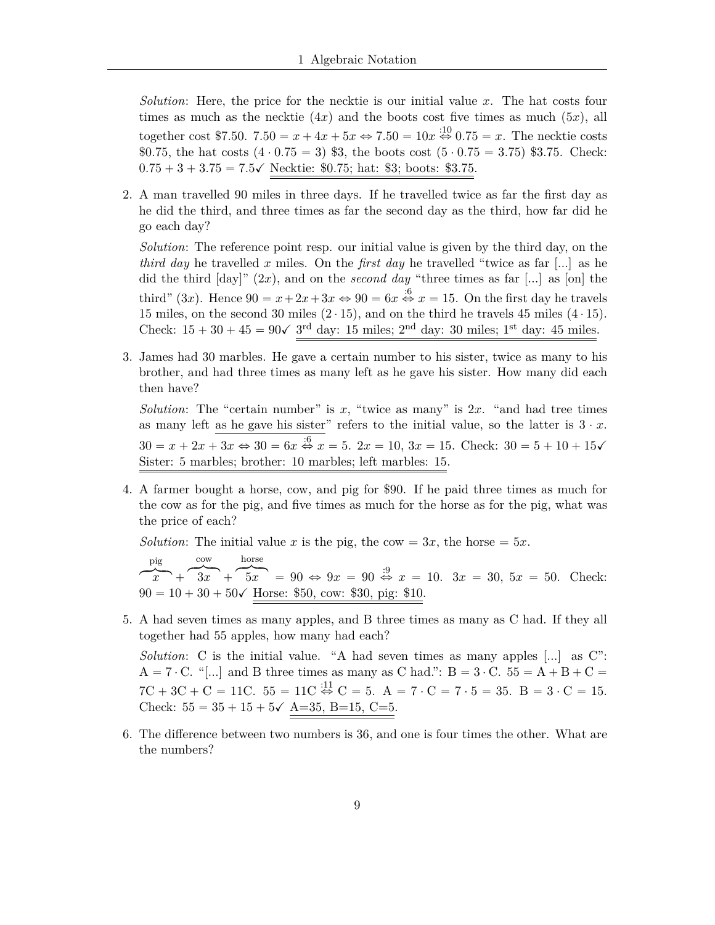*Solution*: Here, the price for the necktie is our initial value *x*. The hat costs four times as much as the necktie  $(4x)$  and the boots cost five times as much  $(5x)$ , all together cost \$7.50.  $7.50 = x + 4x + 5x \Leftrightarrow 7.50 = 10x \stackrel{10}{\Leftrightarrow} 0.75 = x$ . The necktie costs \$0.75, the hat costs  $(4 \cdot 0.75 = 3)$  \$3, the boots cost  $(5 \cdot 0.75 = 3.75)$  \$3.75. Check:  $0.75 + 3 + 3.75 = 7.5\checkmark$  Necktie: \$0.75; hat: \$3; boots: \$3.75.

2. A man travelled 90 miles in three days. If he travelled twice as far the first day as he did the third, and three times as far the second day as the third, how far did he go each day?

*Solution*: The reference point resp. our initial value is given by the third day, on the *third day* he travelled *x* miles. On the *first day* he travelled "twice as far [...] as he did the third [day]" (2*x*), and on the *second day* "three times as far [...] as [on] the third" (3x). Hence  $90 = x + 2x + 3x \Leftrightarrow 90 = 6x \stackrel{.6}{\Leftrightarrow} x = 15$ . On the first day he travels 15 miles, on the second 30 miles  $(2 \cdot 15)$ , and on the third he travels 45 miles  $(4 \cdot 15)$ . Check:  $15 + 30 + 45 = 90\sqrt{3}$ <sup>rd</sup> day: 15 miles; 2<sup>nd</sup> day: 30 miles; 1<sup>st</sup> day: 45 miles.

3. James had 30 marbles. He gave a certain number to his sister, twice as many to his brother, and had three times as many left as he gave his sister. How many did each then have?

*Solution*: The "certain number" is  $x$ , "twice as many" is  $2x$ . "and had tree times as many left as he gave his sister" refers to the initial value, so the latter is  $3 \cdot x$ .  $30 = x + 2x + 3x \Leftrightarrow 30 = 6x \stackrel{.6}{\Leftrightarrow} x = 5$ .  $2x = 10$ ,  $3x = 15$ . Check:  $30 = 5 + 10 + 15\sqrt{ }$ Sister: 5 marbles; brother: 10 marbles; left marbles: 15.

4. A farmer bought a horse, cow, and pig for \$90. If he paid three times as much for the cow as for the pig, and five times as much for the horse as for the pig, what was the price of each?

*Solution*: The initial value *x* is the pig, the cow = 3*x*, the horse = 5*x*.

pig pig  $\overbrace{x}$  +  $\overbrace{3x}$  +  $\overbrace{5x}$  = 90  $\Leftrightarrow$  9x = 90  $\stackrel{.9}{\Leftrightarrow}$  x = 10. 3x = 30, 5x = 50. Check:  $\text{row}$ cow horse  $horse$  $90 = 10 + 30 + 50$  Horse: \$50, cow: \$30, pig: \$10.

5. A had seven times as many apples, and B three times as many as C had. If they all together had 55 apples, how many had each?

*Solution*: C is the initial value. "A had seven times as many apples [...] as C":  $A = 7 \cdot C$ . "[...] and B three times as many as C had.":  $B = 3 \cdot C$ .  $55 = A + B + C =$  $7C + 3C + C = 11C$ .  $55 = 11C \overset{.11}{\Leftrightarrow} C = 5$ .  $A = 7 \cdot C = 7 \cdot 5 = 35$ .  $B = 3 \cdot C = 15$ . Check:  $55 = 35 + 15 + 5\checkmark$  A=35, B=15, C=5.

6. The difference between two numbers is 36, and one is four times the other. What are the numbers?